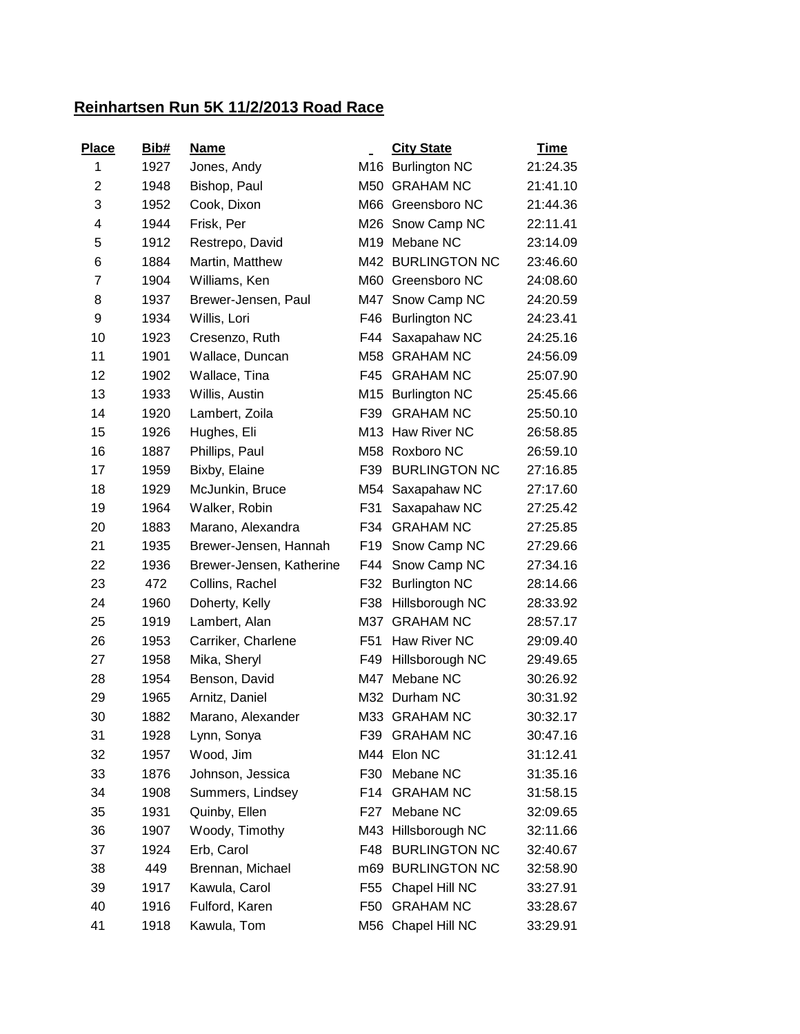## **Reinhartsen Run 5K 11/2/2013 Road Race**

| <b>Place</b> | Bib# | <u>Name</u>              |                 | <b>City State</b>    | <b>Time</b> |
|--------------|------|--------------------------|-----------------|----------------------|-------------|
| 1            | 1927 | Jones, Andy              |                 | M16 Burlington NC    | 21:24.35    |
| 2            | 1948 | Bishop, Paul             | M50             | <b>GRAHAM NC</b>     | 21:41.10    |
| 3            | 1952 | Cook, Dixon              | M66             | Greensboro NC        | 21:44.36    |
| 4            | 1944 | Frisk, Per               |                 | M26 Snow Camp NC     | 22:11.41    |
| 5            | 1912 | Restrepo, David          | M19             | Mebane NC            | 23:14.09    |
| 6            | 1884 | Martin, Matthew          |                 | M42 BURLINGTON NC    | 23:46.60    |
| 7            | 1904 | Williams, Ken            | M60             | Greensboro NC        | 24:08.60    |
| 8            | 1937 | Brewer-Jensen, Paul      | M47             | Snow Camp NC         | 24:20.59    |
| 9            | 1934 | Willis, Lori             | F46             | <b>Burlington NC</b> | 24:23.41    |
| 10           | 1923 | Cresenzo, Ruth           | F44             | Saxapahaw NC         | 24:25.16    |
| 11           | 1901 | Wallace, Duncan          | M58             | <b>GRAHAM NC</b>     | 24:56.09    |
| 12           | 1902 | Wallace, Tina            | F45             | <b>GRAHAM NC</b>     | 25:07.90    |
| 13           | 1933 | Willis, Austin           | M15             | <b>Burlington NC</b> | 25:45.66    |
| 14           | 1920 | Lambert, Zoila           | F39             | <b>GRAHAM NC</b>     | 25:50.10    |
| 15           | 1926 | Hughes, Eli              |                 | M13 Haw River NC     | 26:58.85    |
| 16           | 1887 | Phillips, Paul           |                 | M58 Roxboro NC       | 26:59.10    |
| 17           | 1959 | Bixby, Elaine            | F39             | <b>BURLINGTON NC</b> | 27:16.85    |
| 18           | 1929 | McJunkin, Bruce          | M54             | Saxapahaw NC         | 27:17.60    |
| 19           | 1964 | Walker, Robin            | F31             | Saxapahaw NC         | 27:25.42    |
| 20           | 1883 | Marano, Alexandra        | F34             | <b>GRAHAM NC</b>     | 27:25.85    |
| 21           | 1935 | Brewer-Jensen, Hannah    | F <sub>19</sub> | Snow Camp NC         | 27:29.66    |
| 22           | 1936 | Brewer-Jensen, Katherine | F44             | Snow Camp NC         | 27:34.16    |
| 23           | 472  | Collins, Rachel          | F32             | <b>Burlington NC</b> | 28:14.66    |
| 24           | 1960 | Doherty, Kelly           | F38             | Hillsborough NC      | 28:33.92    |
| 25           | 1919 | Lambert, Alan            | M37             | <b>GRAHAM NC</b>     | 28:57.17    |
| 26           | 1953 | Carriker, Charlene       | F <sub>51</sub> | Haw River NC         | 29:09.40    |
| 27           | 1958 | Mika, Sheryl             | F49             | Hillsborough NC      | 29:49.65    |
| 28           | 1954 | Benson, David            | M47             | Mebane NC            | 30:26.92    |
| 29           | 1965 | Arnitz, Daniel           |                 | M32 Durham NC        | 30:31.92    |
| 30           | 1882 | Marano, Alexander        |                 | M33 GRAHAM NC        | 30:32.17    |
| 31           | 1928 | Lynn, Sonya              | F39             | <b>GRAHAM NC</b>     | 30:47.16    |
| 32           | 1957 | Wood, Jim                |                 | M44 Elon NC          | 31:12.41    |
| 33           | 1876 | Johnson, Jessica         | F30             | Mebane NC            | 31:35.16    |
| 34           | 1908 | Summers, Lindsey         | F14             | <b>GRAHAM NC</b>     | 31:58.15    |
| 35           | 1931 | Quinby, Ellen            | F27             | Mebane NC            | 32:09.65    |
| 36           | 1907 | Woody, Timothy           | M43             | Hillsborough NC      | 32:11.66    |
| 37           | 1924 | Erb, Carol               | F48             | <b>BURLINGTON NC</b> | 32:40.67    |
| 38           | 449  | Brennan, Michael         | m69             | <b>BURLINGTON NC</b> | 32:58.90    |
| 39           | 1917 | Kawula, Carol            | F <sub>55</sub> | Chapel Hill NC       | 33:27.91    |
| 40           | 1916 | Fulford, Karen           | F50             | <b>GRAHAM NC</b>     | 33:28.67    |
| 41           | 1918 | Kawula, Tom              |                 | M56 Chapel Hill NC   | 33:29.91    |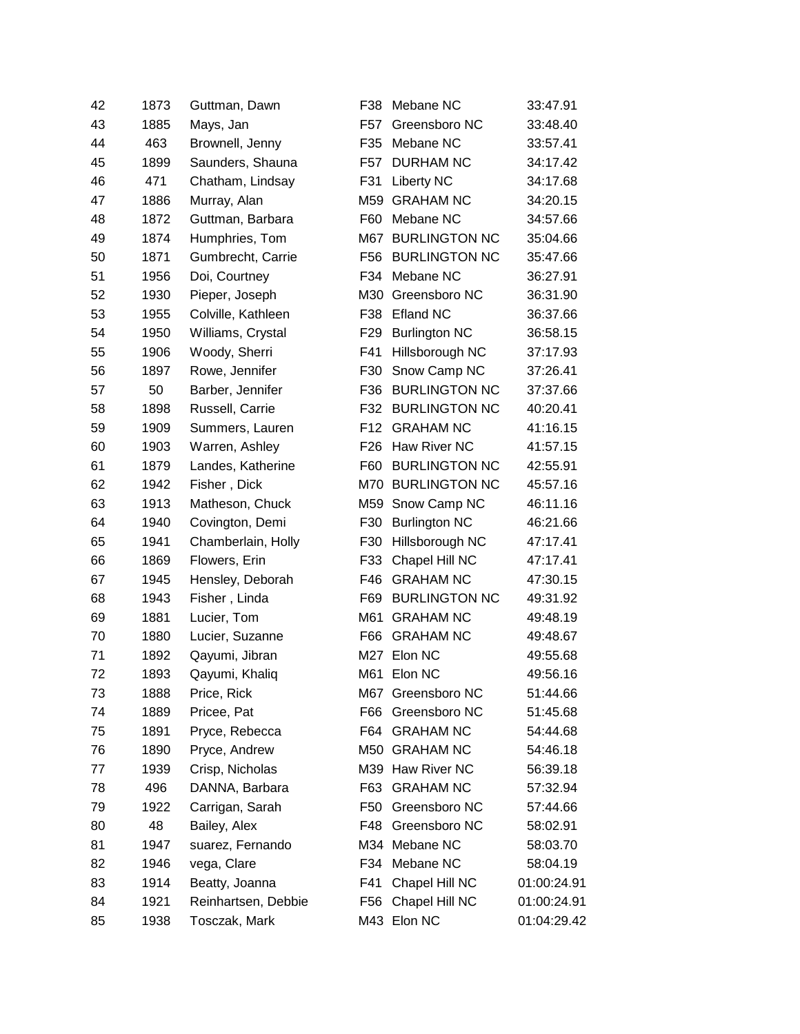| 42 | 1873 | Guttman, Dawn       | F38             | Mebane NC            | 33:47.91    |
|----|------|---------------------|-----------------|----------------------|-------------|
| 43 | 1885 | Mays, Jan           | F57             | Greensboro NC        | 33:48.40    |
| 44 | 463  | Brownell, Jenny     | F35             | Mebane NC            | 33:57.41    |
| 45 | 1899 | Saunders, Shauna    | F <sub>57</sub> | <b>DURHAM NC</b>     | 34:17.42    |
| 46 | 471  | Chatham, Lindsay    | F31             | <b>Liberty NC</b>    | 34:17.68    |
| 47 | 1886 | Murray, Alan        | M59             | <b>GRAHAM NC</b>     | 34:20.15    |
| 48 | 1872 | Guttman, Barbara    | F60             | Mebane NC            | 34:57.66    |
| 49 | 1874 | Humphries, Tom      |                 | M67 BURLINGTON NC    | 35:04.66    |
| 50 | 1871 | Gumbrecht, Carrie   | F <sub>56</sub> | <b>BURLINGTON NC</b> | 35:47.66    |
| 51 | 1956 | Doi, Courtney       | F34             | Mebane NC            | 36:27.91    |
| 52 | 1930 | Pieper, Joseph      | M30             | Greensboro NC        | 36:31.90    |
| 53 | 1955 | Colville, Kathleen  | F38             | Efland NC            | 36:37.66    |
| 54 | 1950 | Williams, Crystal   | F29             | <b>Burlington NC</b> | 36:58.15    |
| 55 | 1906 | Woody, Sherri       | F41             | Hillsborough NC      | 37:17.93    |
| 56 | 1897 | Rowe, Jennifer      | F30             | Snow Camp NC         | 37:26.41    |
| 57 | 50   | Barber, Jennifer    | F36             | <b>BURLINGTON NC</b> | 37:37.66    |
| 58 | 1898 | Russell, Carrie     | F32             | <b>BURLINGTON NC</b> | 40:20.41    |
| 59 | 1909 | Summers, Lauren     | F12             | <b>GRAHAM NC</b>     | 41:16.15    |
| 60 | 1903 | Warren, Ashley      | F <sub>26</sub> | Haw River NC         | 41:57.15    |
| 61 | 1879 | Landes, Katherine   | F60             | <b>BURLINGTON NC</b> | 42:55.91    |
| 62 | 1942 | Fisher, Dick        |                 | M70 BURLINGTON NC    | 45:57.16    |
| 63 | 1913 | Matheson, Chuck     |                 | M59 Snow Camp NC     | 46:11.16    |
| 64 | 1940 | Covington, Demi     | F30             | <b>Burlington NC</b> | 46:21.66    |
| 65 | 1941 | Chamberlain, Holly  | F30             | Hillsborough NC      | 47:17.41    |
| 66 | 1869 | Flowers, Erin       | F33             | Chapel Hill NC       | 47:17.41    |
| 67 | 1945 | Hensley, Deborah    | F46             | <b>GRAHAM NC</b>     | 47:30.15    |
| 68 | 1943 | Fisher, Linda       | F69             | <b>BURLINGTON NC</b> | 49:31.92    |
| 69 | 1881 | Lucier, Tom         | M61             | <b>GRAHAM NC</b>     | 49:48.19    |
| 70 | 1880 | Lucier, Suzanne     | F66             | <b>GRAHAM NC</b>     | 49:48.67    |
| 71 | 1892 | Qayumi, Jibran      |                 | M27 Elon NC          | 49:55.68    |
| 72 | 1893 | Qayumi, Khaliq      |                 | M61 Elon NC          | 49:56.16    |
| 73 | 1888 | Price, Rick         |                 | M67 Greensboro NC    | 51:44.66    |
| 74 | 1889 | Pricee, Pat         | F66             | Greensboro NC        | 51:45.68    |
| 75 | 1891 | Pryce, Rebecca      | F64             | <b>GRAHAM NC</b>     | 54:44.68    |
| 76 | 1890 | Pryce, Andrew       | M50             | <b>GRAHAM NC</b>     | 54:46.18    |
| 77 | 1939 | Crisp, Nicholas     | M39             | Haw River NC         | 56:39.18    |
| 78 | 496  | DANNA, Barbara      | F63             | <b>GRAHAM NC</b>     | 57:32.94    |
| 79 | 1922 | Carrigan, Sarah     | F50             | Greensboro NC        | 57:44.66    |
| 80 | 48   | Bailey, Alex        | F48             | Greensboro NC        | 58:02.91    |
| 81 | 1947 | suarez, Fernando    | M34             | Mebane NC            | 58:03.70    |
| 82 | 1946 | vega, Clare         | F34             | Mebane NC            | 58:04.19    |
| 83 | 1914 | Beatty, Joanna      | F41             | Chapel Hill NC       | 01:00:24.91 |
| 84 | 1921 | Reinhartsen, Debbie | F56             | Chapel Hill NC       | 01:00:24.91 |
| 85 | 1938 | Tosczak, Mark       |                 | M43 Elon NC          | 01:04:29.42 |